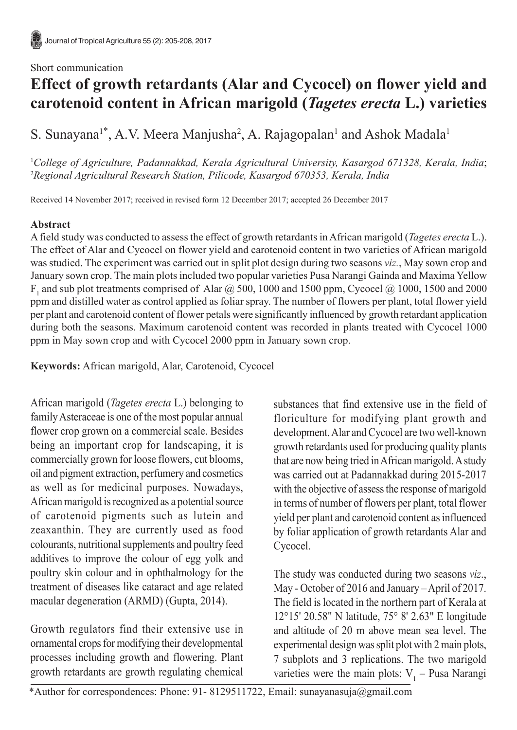## Short communication

# **Effect of growth retardants (Alar and Cycocel) on flower yield and carotenoid content in African marigold (***Tagetes erecta* **L.) varieties**

S. Sunayana<sup>1\*</sup>, A.V. Meera Manjusha<sup>2</sup>, A. Rajagopalan<sup>1</sup> and Ashok Madala<sup>1</sup>

1 *College of Agriculture, Padannakkad, Kerala Agricultural University, Kasargod 671328, Kerala, India*; 2 *Regional Agricultural Research Station, Pilicode, Kasargod 670353, Kerala, India*

Received 14 November 2017; received in revised form 12 December 2017; accepted 26 December 2017

# **Abstract**

A field study was conducted to assess the effect of growth retardants in African marigold (*Tagetes erecta* L.). The effect of Alar and Cycocel on flower yield and carotenoid content in two varieties of African marigold was studied. The experiment was carried out in split plot design during two seasons *viz.*, May sown crop and January sown crop. The main plots included two popular varieties Pusa Narangi Gainda and Maxima Yellow  $F_1$  and sub plot treatments comprised of Alar  $@$  500, 1000 and 1500 ppm, Cycocel  $@$  1000, 1500 and 2000 ppm and distilled water as control applied as foliar spray. The number of flowers per plant, total flower yield per plant and carotenoid content of flower petals were significantly influenced by growth retardant application during both the seasons. Maximum carotenoid content was recorded in plants treated with Cycocel 1000 ppm in May sown crop and with Cycocel 2000 ppm in January sown crop.

**Keywords:** African marigold, Alar, Carotenoid, Cycocel

African marigold (*Tagetes erecta* L.) belonging to family Asteraceae is one of the most popular annual flower crop grown on a commercial scale. Besides being an important crop for landscaping, it is commercially grown for loose flowers, cut blooms, oil and pigment extraction, perfumery and cosmetics as well as for medicinal purposes. Nowadays, African marigold is recognized as a potential source of carotenoid pigments such as lutein and zeaxanthin. They are currently used as food colourants, nutritional supplements and poultry feed additives to improve the colour of egg yolk and poultry skin colour and in ophthalmology for the treatment of diseases like cataract and age related macular degeneration (ARMD) (Gupta, 2014).

Growth regulators find their extensive use in ornamental crops for modifying their developmental processes including growth and flowering. Plant growth retardants are growth regulating chemical substances that find extensive use in the field of floriculture for modifying plant growth and development. Alar and Cycocel are two well-known growth retardants used for producing quality plants that are now being tried in African marigold. A study was carried out at Padannakkad during 2015-2017 with the objective of assess the response of marigold in terms of number of flowers per plant, total flower yield per plant and carotenoid content as influenced by foliar application of growth retardants Alar and Cycocel.

The study was conducted during two seasons *viz*., May - October of 2016 and January – April of 2017. The field is located in the northern part of Kerala at 12°15' 20.58" N latitude, 75° 8' 2.63" E longitude and altitude of 20 m above mean sea level. The experimental design was split plot with 2 main plots, 7 subplots and 3 replications. The two marigold varieties were the main plots:  $V_1$  – Pusa Narangi

<sup>\*</sup>Author for correspondences: Phone: 91- 8129511722, Email: sunayanasuja@gmail.com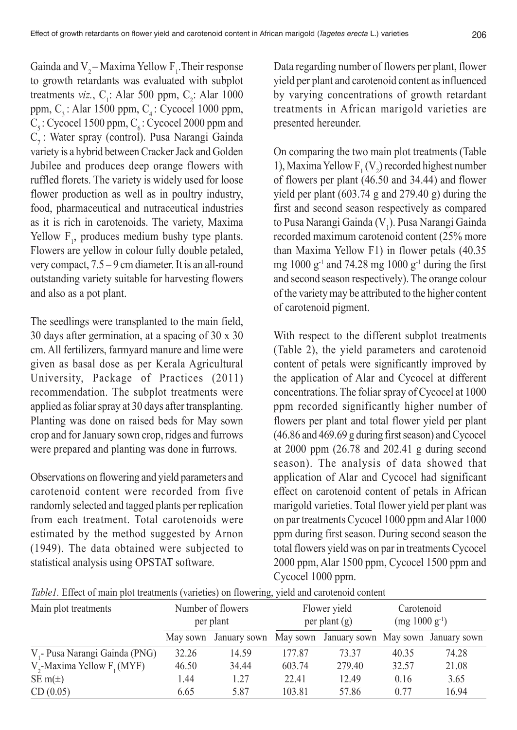Gainda and  $V_2$  – Maxima Yellow  $F_1$ . Their response to growth retardants was evaluated with subplot treatments *viz.*,  $C_1$ : Alar 500 ppm,  $C_2$ : Alar 1000 ppm,  $C<sub>3</sub>$ : Alar 1500 ppm,  $C<sub>4</sub>$ : Cycocel 1000 ppm,  $C_5$ : Cycocel 1500 ppm,  $C_6$ : Cycocel 2000 ppm and C<sub>2</sub>: Water spray (control). Pusa Narangi Gainda variety is a hybrid between Cracker Jack and Golden Jubilee and produces deep orange flowers with ruffled florets. The variety is widely used for loose flower production as well as in poultry industry, food, pharmaceutical and nutraceutical industries as it is rich in carotenoids. The variety, Maxima Yellow  $F_1$ , produces medium bushy type plants. Flowers are yellow in colour fully double petaled, very compact, 7.5 – 9 cm diameter. It is an all-round outstanding variety suitable for harvesting flowers and also as a pot plant.

The seedlings were transplanted to the main field, 30 days after germination, at a spacing of 30 x 30 cm. All fertilizers, farmyard manure and lime were given as basal dose as per Kerala Agricultural University, Package of Practices (2011) recommendation. The subplot treatments were applied as foliar spray at 30 days after transplanting. Planting was done on raised beds for May sown crop and for January sown crop, ridges and furrows were prepared and planting was done in furrows.

Observations on flowering and yield parameters and carotenoid content were recorded from five randomly selected and tagged plants per replication from each treatment. Total carotenoids were estimated by the method suggested by Arnon (1949). The data obtained were subjected to statistical analysis using OPSTAT software.

Data regarding number of flowers per plant, flower yield per plant and carotenoid content as influenced by varying concentrations of growth retardant treatments in African marigold varieties are presented hereunder.

On comparing the two main plot treatments (Table 1), Maxima Yellow  $F_1(V_2)$  recorded highest number of flowers per plant (46.50 and 34.44) and flower yield per plant (603.74 g and 279.40 g) during the first and second season respectively as compared to Pusa Narangi Gainda (V<sub>1</sub>). Pusa Narangi Gainda recorded maximum carotenoid content (25% more than Maxima Yellow F1) in flower petals (40.35 mg 1000  $g^{-1}$  and 74.28 mg 1000  $g^{-1}$  during the first and second season respectively). The orange colour of the variety may be attributed to the higher content of carotenoid pigment.

With respect to the different subplot treatments (Table 2), the yield parameters and carotenoid content of petals were significantly improved by the application of Alar and Cycocel at different concentrations. The foliar spray of Cycocel at 1000 ppm recorded significantly higher number of flowers per plant and total flower yield per plant (46.86 and 469.69 g during first season) and Cycocel at 2000 ppm (26.78 and 202.41 g during second season). The analysis of data showed that application of Alar and Cycocel had significant effect on carotenoid content of petals in African marigold varieties. Total flower yield per plant was on par treatments Cycocel 1000 ppm and Alar 1000 ppm during first season. During second season the total flowers yield was on par in treatments Cycocel 2000 ppm, Alar 1500 ppm, Cycocel 1500 ppm and Cycocel 1000 ppm.

| Main plot treatments                     | Number of flowers<br>per plant |       |        | Flower yield<br>per plant $(g)$                          | Carotenoid<br>$(mg 1000 g^{-1})$ |       |
|------------------------------------------|--------------------------------|-------|--------|----------------------------------------------------------|----------------------------------|-------|
|                                          | May sown                       |       |        | January sown May sown January sown May sown January sown |                                  |       |
| V <sub>1</sub> Pusa Narangi Gainda (PNG) | 32.26                          | 14.59 | 177.87 | 73 37                                                    | 40.35                            | 74.28 |
| $V,$ -Maxima Yellow $F, (MYF)$           | 46.50                          | 34.44 | 603.74 | 279.40                                                   | 32.57                            | 21.08 |
| SE m( $\pm$ )                            | 1.44                           | 1.27  | 22.41  | 12.49                                                    | 0.16                             | 3.65  |
| CD(0.05)                                 | 6.65                           | 5.87  | 103.81 | 57.86                                                    | 0.77                             | 16.94 |

*Table1.* Effect of main plot treatments (varieties) on flowering, yield and carotenoid content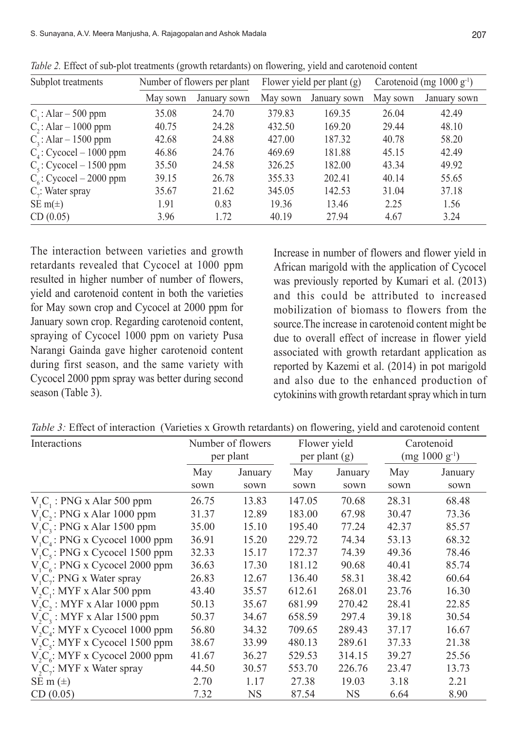| Subplot treatments                  | Number of flowers per plant |              |          | Flower yield per plant (g) | Carotenoid (mg 1000 g <sup>-1</sup> ) |              |
|-------------------------------------|-----------------------------|--------------|----------|----------------------------|---------------------------------------|--------------|
|                                     | May sown                    | January sown | May sown | January sown               | May sown                              | January sown |
| $C1$ : Alar – 500 ppm               | 35.08                       | 24.70        | 379.83   | 169.35                     | 26.04                                 | 42.49        |
| $C_2$ : Alar – 1000 ppm             | 40.75                       | 24.28        | 432.50   | 169.20                     | 29.44                                 | 48.10        |
| $C3$ : Alar - 1500 ppm              | 42.68                       | 24.88        | 427.00   | 187.32                     | 40.78                                 | 58.20        |
| $C_{\text{A}}$ : Cycocel – 1000 ppm | 46.86                       | 24.76        | 469.69   | 181.88                     | 45.15                                 | 42.49        |
| $C_s$ : Cycocel – 1500 ppm          | 35.50                       | 24.58        | 326.25   | 182.00                     | 43.34                                 | 49.92        |
| $C_{6}$ : Cycocel – 2000 ppm        | 39.15                       | 26.78        | 355.33   | 202.41                     | 40.14                                 | 55.65        |
| $C_i$ : Water spray                 | 35.67                       | 21.62        | 345.05   | 142.53                     | 31.04                                 | 37.18        |
| SE m( $\pm$ )                       | 1.91                        | 0.83         | 19.36    | 13.46                      | 2.25                                  | 1.56         |
| CD(0.05)                            | 3.96                        | 1.72         | 40.19    | 27.94                      | 4.67                                  | 3.24         |

*Table 2.* Effect of sub-plot treatments (growth retardants) on flowering, yield and carotenoid content

The interaction between varieties and growth retardants revealed that Cycocel at 1000 ppm resulted in higher number of number of flowers, yield and carotenoid content in both the varieties for May sown crop and Cycocel at 2000 ppm for January sown crop. Regarding carotenoid content, spraying of Cycocel 1000 ppm on variety Pusa Narangi Gainda gave higher carotenoid content during first season, and the same variety with Cycocel 2000 ppm spray was better during second season (Table 3).

Increase in number of flowers and flower yield in African marigold with the application of Cycocel was previously reported by Kumari et al. (2013) and this could be attributed to increased mobilization of biomass to flowers from the source.The increase in carotenoid content might be due to overall effect of increase in flower yield associated with growth retardant application as reported by Kazemi et al. (2014) in pot marigold and also due to the enhanced production of cytokinins with growth retardant spray which in turn

| Table 3: Effect of interaction (Varieties x Growth retardants) on flowering, yield and carotenoid content |  |  |  |  |  |
|-----------------------------------------------------------------------------------------------------------|--|--|--|--|--|
|-----------------------------------------------------------------------------------------------------------|--|--|--|--|--|

| Interactions                          | Number of flowers<br>per plant |         | Flower yield<br>per plant (g) |         | Carotenoid<br>$(mg 1000 g^{-1})$ |         |
|---------------------------------------|--------------------------------|---------|-------------------------------|---------|----------------------------------|---------|
|                                       | May                            | January | May                           | January | May                              | January |
|                                       | sown                           | sown    | sown                          | sown    | sown                             | sown    |
| $V1C1$ : PNG x Alar 500 ppm           | 26.75                          | 13.83   | 147.05                        | 70.68   | 28.31                            | 68.48   |
| $V1C2$ : PNG x Alar 1000 ppm          | 31.37                          | 12.89   | 183.00                        | 67.98   | 30.47                            | 73.36   |
| $V1C3$ : PNG x Alar 1500 ppm          | 35.00                          | 15.10   | 195.40                        | 77.24   | 42.37                            | 85.57   |
| $V_{1}C_{4}$ : PNG x Cycocel 1000 ppm | 36.91                          | 15.20   | 229.72                        | 74.34   | 53.13                            | 68.32   |
| $V_{1}C_{5}$ : PNG x Cycocel 1500 ppm | 32.33                          | 15.17   | 172.37                        | 74.39   | 49.36                            | 78.46   |
| $V_{1}C_{6}$ : PNG x Cycocel 2000 ppm | 36.63                          | 17.30   | 181.12                        | 90.68   | 40.41                            | 85.74   |
| $V_{1}C_{7}$ : PNG x Water spray      | 26.83                          | 12.67   | 136.40                        | 58.31   | 38.42                            | 60.64   |
| $V2C$ : MYF x Alar 500 ppm            | 43.40                          | 35.57   | 612.61                        | 268.01  | 23.76                            | 16.30   |
| $V, C, : MYF x$ Alar 1000 ppm         | 50.13                          | 35.67   | 681.99                        | 270.42  | 28.41                            | 22.85   |
| $V_2C_3$ : MYF x Alar 1500 ppm        | 50.37                          | 34.67   | 658.59                        | 297.4   | 39.18                            | 30.54   |
| $V_{2}C_{4}$ : MYF x Cycocel 1000 ppm | 56.80                          | 34.32   | 709.65                        | 289.43  | 37.17                            | 16.67   |
| $V, C_s$ : MYF x Cycocel 1500 ppm     | 38.67                          | 33.99   | 480.13                        | 289.61  | 37.33                            | 21.38   |
| $V, C_s$ : MYF x Cycocel 2000 ppm     | 41.67                          | 36.27   | 529.53                        | 314.15  | 39.27                            | 25.56   |
| $V_{1}C_{1}$ : MYF x Water spray      | 44.50                          | 30.57   | 553.70                        | 226.76  | 23.47                            | 13.73   |
| SE m $(\pm)$                          | 2.70                           | 1.17    | 27.38                         | 19.03   | 3.18                             | 2.21    |
| CD(0.05)                              | 7.32                           | NS      | 87.54                         | NS      | 6.64                             | 8.90    |